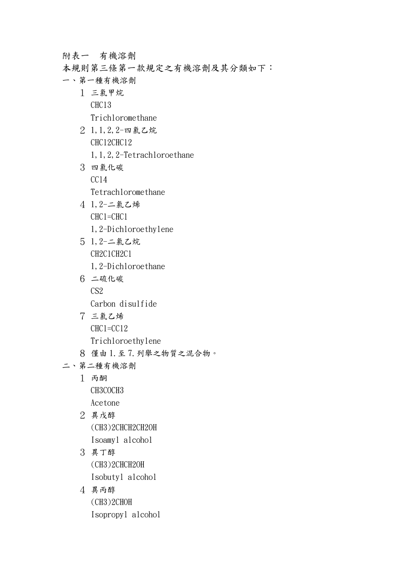附表一 有機溶劑

- 本規則第三條第一款規定之有機溶劑及其分類如下:
- 一、第一種有機溶劑
	- 1 三氯甲烷 CHCl3
		- Trichloromethane
	- 2 1,1,2,2-四氯乙烷 CHCl2CHCl2 1,1,2,2-Tetrachloroethane
	- 3 四氯化碳  $CC14$ Tetrachloromethane
	- 4 1,2-二氯乙烯 CHCl=CHCl
		- 1,2-Dichloroethylene
	- 5 1,2-二氯乙烷 CH2ClCH2Cl 1,2-Dichloroethane
	- 6 二硫化碳 C<sub>S2</sub> Carbon disulfide
	- 7 三氯乙烯 CHCl=CCl2 Trichloroethylene
	- 8 僅由 1.至 7.列舉之物質之混合物。
- 二、第二種有機溶劑
	- 1 丙酮 CH3COCH3
		- Acetone
	- 2 異戊醇 (CH3)2CHCH2CH2OH Isoamyl alcohol
	- 3 異丁醇 (CH3)2CHCH2OH Isobutyl alcohol
	- 4 異丙醇 (CH3)2CHOH Isopropyl alcohol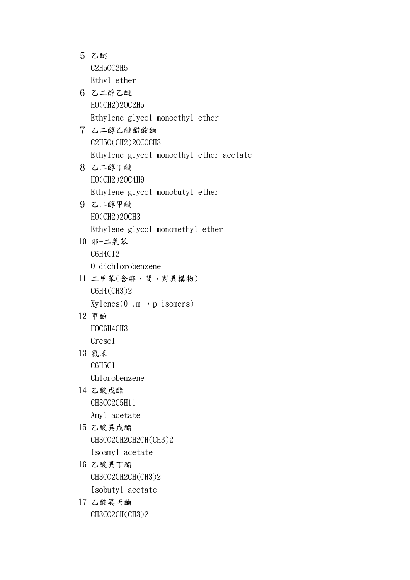5 乙醚 C2H5OC2H5 Ethyl ether 6 乙二醇乙醚 HO(CH2)2OC2H5 Ethylene glycol monoethyl ether 7 乙二醇乙醚醋酸酯 C2H5O(CH2)2OCOCH3 Ethylene glycol monoethyl ether acetate 8 乙二醇丁醚 HO(CH2)2OC4H9 Ethylene glycol monobutyl ether 9 乙二醇甲醚 HO(CH2)2OCH3 Ethylene glycol monomethyl ether 10 鄰-二氯苯 C6H4Cl2 O-dichlorobenzene 11 二甲苯(含鄰、間、對異構物) C6H4(CH3)2  $Xy$ lenes $(0-, m-, p-i$ somers) 12 甲酚 HOC6H4CH3 Cresol 13 氯苯 C6H5Cl Chlorobenzene 14 乙酸戊酯 CH3CO2C5H11 Amyl acetate 15 乙酸異戊酯 CH3CO2CH2CH2CH(CH3)2 Isoamyl acetate 16 乙酸異丁酯 CH3CO2CH2CH(CH3)2 Isobutyl acetate 17 乙酸異丙酯

CH3CO2CH(CH3)2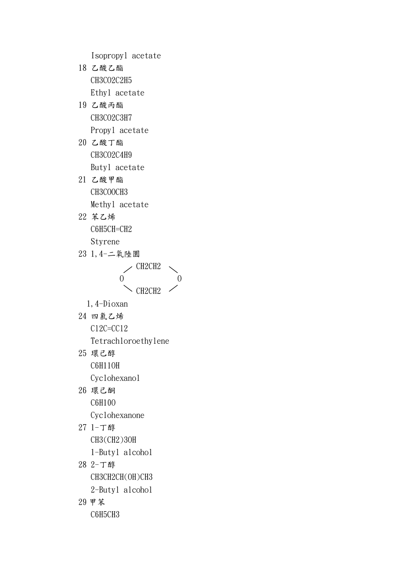Isopropyl acetate

- 18 乙酸乙酯 CH3CO2C2H5 Ethyl acetate 19 乙酸丙酯
	- CH3CO2C3H7 Propyl acetate
- 20 乙酸丁酯 CH3CO2C4H9 Butyl acetate
- 21 乙酸甲酯 CH3COOCH3 Methyl acetate
- 22 苯乙烯 C6H5CH=CH2 Styrene
- 23 1,4-二氧陸圜  $\angle$  CH2CH2
	- $0$  0  $\sim$  CH2CH2
	- 1,4-Dioxan
- 24 四氯乙烯 Cl2C=CCl2
	- Tetrachloroethylene
- 25 環己醇 C6H11OH Cyclohexanol
- 26 環己酮 C6H10O Cyclohexanone
- 27 1-丁醇 CH3(CH2)3OH
	- 1-Butyl alcohol
- 28 2-丁醇 CH3CH2CH(OH)CH3
	- 2-Butyl alcohol
- 29 甲苯

C6H5CH3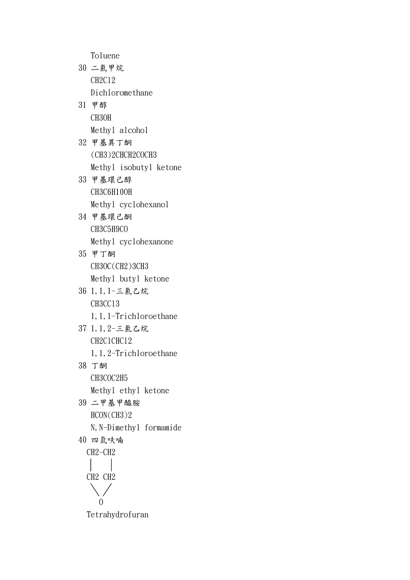Toluene 30 二氯甲烷 CH2Cl2 Dichloromethane 31 甲醇 CH3OH

- Methyl alcohol 32 甲基異丁酮 (CH3)2CHCH2COCH3 Methyl isobutyl ketone
- 33 甲基環己醇 CH3C6H10OH Methyl cyclohexanol
- 34 甲基環己酮 CH3C5H9CO Methyl cyclohexanone
- 35 甲丁酮 CH3OC(CH2)3CH3 Methyl butyl ketone
- 36 1,1,1-三氯乙烷 CH3CCl3 1,1,1-Trichloroethane
- 37 1,1,2-三氯乙烷 CH2ClCHCl2 1,1,2-Trichloroethane
- 38 丁酮 CH3COC2H5 Methyl ethyl ketone
- 39 二甲基甲醯胺 HCON(CH3)2 N, N-Dimethyl formamide 40 四氫呋喃

$$
\begin{array}{c}\n\text{CH2--CH2} \\
\mid \quad \mid \\
\text{CH2 CH2} \\
\downarrow \quad \text{O}\n\end{array}
$$

Tetrahydrofuran